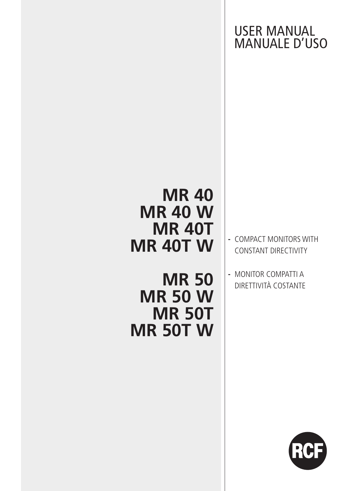USER MANUAL MANUALE D'USO

# **MR 40 MR 40 W MR 40T MR 40T W**

**MR 50 MR 50 W MR 50T MR 50T W**

- **-** COMPACT MONITORS WITH CONSTANT DIRECTIVITY
- **-** MONITOR COMPATTI A DIRETTIVITÀ COSTANTE

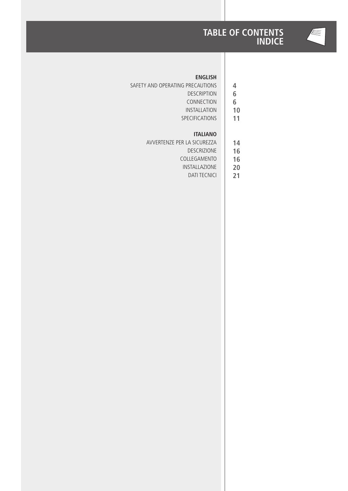



**4**

#### **ENGLISH**

- SAFETY AND OPERATING PRECAUTIONS
	- DESCRIPTION **6**
	- CONNECTION **6**
	- INSTALLATION **10**
	- SPECIFICATIONS **11**

#### **ITALIANO**

- AVVERTENZE PER LA SICUREZZA **14**
	- DESCRIZIONE **16**
	- COLLEGAMENTO **16**
	- INSTALLAZIONE DATI TECNICI **20**
		- **21**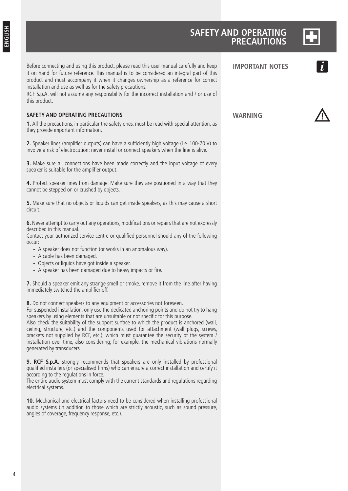| ╾  |  |
|----|--|
|    |  |
|    |  |
|    |  |
| -- |  |
|    |  |
|    |  |

### **SAFETY AND OPERATING PRECAUTIONS**

| Before connecting and using this product, please read this user manual carefully and keep<br>it on hand for future reference. This manual is to be considered an integral part of this<br>product and must accompany it when it changes ownership as a reference for correct<br>installation and use as well as for the safety precautions.<br>RCF S.p.A. will not assume any responsibility for the incorrect installation and / or use of<br>this product.                                                                                                                                                                                                         | <b>IMPORTANT NOTES</b> |  |
|----------------------------------------------------------------------------------------------------------------------------------------------------------------------------------------------------------------------------------------------------------------------------------------------------------------------------------------------------------------------------------------------------------------------------------------------------------------------------------------------------------------------------------------------------------------------------------------------------------------------------------------------------------------------|------------------------|--|
| <b>SAFETY AND OPERATING PRECAUTIONS</b>                                                                                                                                                                                                                                                                                                                                                                                                                                                                                                                                                                                                                              | <b>WARNING</b>         |  |
| 1. All the precautions, in particular the safety ones, must be read with special attention, as<br>they provide important information.                                                                                                                                                                                                                                                                                                                                                                                                                                                                                                                                |                        |  |
| 2. Speaker lines (amplifier outputs) can have a sufficiently high voltage (i.e. 100-70 V) to<br>involve a risk of electrocution: never install or connect speakers when the line is alive.                                                                                                                                                                                                                                                                                                                                                                                                                                                                           |                        |  |
| 3. Make sure all connections have been made correctly and the input voltage of every<br>speaker is suitable for the amplifier output.                                                                                                                                                                                                                                                                                                                                                                                                                                                                                                                                |                        |  |
| 4. Protect speaker lines from damage. Make sure they are positioned in a way that they<br>cannot be stepped on or crushed by objects.                                                                                                                                                                                                                                                                                                                                                                                                                                                                                                                                |                        |  |
| 5. Make sure that no objects or liquids can get inside speakers, as this may cause a short<br>circuit.                                                                                                                                                                                                                                                                                                                                                                                                                                                                                                                                                               |                        |  |
| 6. Never attempt to carry out any operations, modifications or repairs that are not expressly                                                                                                                                                                                                                                                                                                                                                                                                                                                                                                                                                                        |                        |  |
| described in this manual.<br>Contact your authorized service centre or qualified personnel should any of the following<br>occur:                                                                                                                                                                                                                                                                                                                                                                                                                                                                                                                                     |                        |  |
| - A speaker does not function (or works in an anomalous way).<br>- A cable has been damaged.<br>- Objects or liquids have got inside a speaker.<br>- A speaker has been damaged due to heavy impacts or fire.                                                                                                                                                                                                                                                                                                                                                                                                                                                        |                        |  |
| 7. Should a speaker emit any strange smell or smoke, remove it from the line after having<br>immediately switched the amplifier off.                                                                                                                                                                                                                                                                                                                                                                                                                                                                                                                                 |                        |  |
| 8. Do not connect speakers to any equipment or accessories not foreseen.<br>For suspended installation, only use the dedicated anchoring points and do not try to hang<br>speakers by using elements that are unsuitable or not specific for this purpose.<br>Also check the suitability of the support surface to which the product is anchored (wall,<br>ceiling, structure, etc.) and the components used for attachment (wall plugs, screws,<br>brackets not supplied by RCF, etc.), which must guarantee the security of the system /<br>installation over time, also considering, for example, the mechanical vibrations normally<br>generated by transducers. |                        |  |
| 9. RCF S.p.A. strongly recommends that speakers are only installed by professional<br>qualified installers (or specialised firms) who can ensure a correct installation and certify it<br>according to the regulations in force.<br>The entire audio system must comply with the current standards and regulations regarding<br>electrical systems.                                                                                                                                                                                                                                                                                                                  |                        |  |
| <b>10.</b> Mechanical and electrical factors need to be considered when installing professional<br>audio systems (in addition to those which are strictly acoustic, such as sound pressure,<br>angles of coverage, frequency response, etc.).                                                                                                                                                                                                                                                                                                                                                                                                                        |                        |  |
|                                                                                                                                                                                                                                                                                                                                                                                                                                                                                                                                                                                                                                                                      |                        |  |
|                                                                                                                                                                                                                                                                                                                                                                                                                                                                                                                                                                                                                                                                      |                        |  |
|                                                                                                                                                                                                                                                                                                                                                                                                                                                                                                                                                                                                                                                                      |                        |  |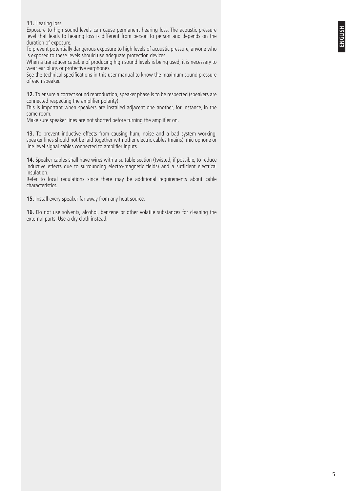#### **11.** Hearing loss

Exposure to high sound levels can cause permanent hearing loss. The acoustic pressure level that leads to hearing loss is different from person to person and depends on the duration of exposure.

To prevent potentially dangerous exposure to high levels of acoustic pressure, anyone who is exposed to these levels should use adequate protection devices.

When a transducer capable of producing high sound levels is being used, it is necessary to wear ear plugs or protective earphones.

See the technical specifications in this user manual to know the maximum sound pressure of each speaker.

**12.** To ensure a correct sound reproduction, speaker phase is to be respected (speakers are connected respecting the amplifier polarity).

This is important when speakers are installed adjacent one another, for instance, in the same room.

Make sure speaker lines are not shorted before turning the amplifier on.

**13.** To prevent inductive effects from causing hum, noise and a bad system working, speaker lines should not be laid together with other electric cables (mains), microphone or line level signal cables connected to amplifier inputs.

**14.** Speaker cables shall have wires with a suitable section (twisted, if possible, to reduce inductive effects due to surrounding electro-magnetic fields) and a sufficient electrical insulation.

Refer to local regulations since there may be additional requirements about cable characteristics.

**15.** Install every speaker far away from any heat source.

**16.** Do not use solvents, alcohol, benzene or other volatile substances for cleaning the external parts. Use a dry cloth instead.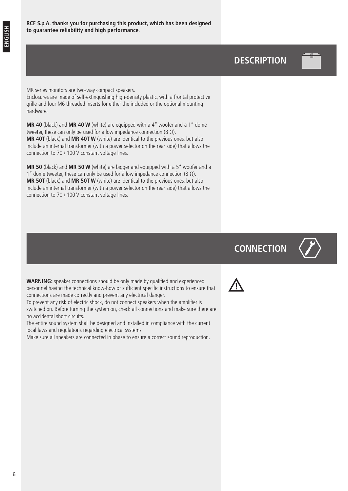### **DESCRIPTION**



MR series monitors are two-way compact speakers. Enclosures are made of self-extinguishing high-density plastic, with a frontal protective grille and four M6 threaded inserts for either the included or the optional mounting hardware.

**MR 40** (black) and **MR 40 W** (white) are equipped with a 4" woofer and a 1" dome tweeter, these can only be used for a low impedance connection (8 Ω). **MR 40T** (black) and **MR 40T W** (white) are identical to the previous ones, but also include an internal transformer (with a power selector on the rear side) that allows the connection to 70 / 100 V constant voltage lines.

**MR 50** (black) and **MR 50 W** (white) are bigger and equipped with a 5" woofer and a 1" dome tweeter, these can only be used for a low impedance connection (8 Ω). **MR 50T** (black) and **MR 50T W** (white) are identical to the previous ones, but also include an internal transformer (with a power selector on the rear side) that allows the connection to 70 / 100 V constant voltage lines.

# **CONNECTION**



**WARNING:** speaker connections should be only made by qualified and experienced personnel having the technical know-how or sufficient specific instructions to ensure that connections are made correctly and prevent any electrical danger.

To prevent any risk of electric shock, do not connect speakers when the amplifier is switched on. Before turning the system on, check all connections and make sure there are no accidental short circuits.

The entire sound system shall be designed and installed in compliance with the current local laws and regulations regarding electrical systems.

Make sure all speakers are connected in phase to ensure a correct sound reproduction.

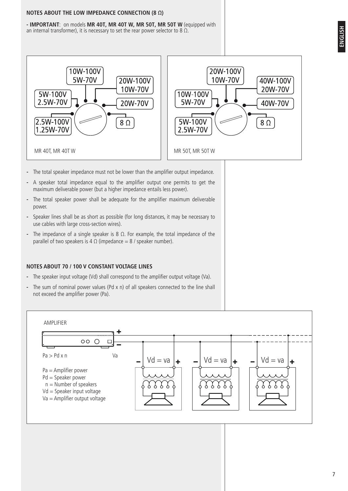#### **NOTES ABOUT THE LOW IMPEDANCE CONNECTION (8 Ω)**

**- IMPORTANT**: on models **MR 40T, MR 40T W, MR 50T, MR 50T W** (equipped with an internal transformer), it is necessary to set the rear power selector to 8  $\Omega$ .





- **-** The total speaker impedance must not be lower than the amplifier output impedance.
- **-** A speaker total impedance equal to the amplifier output one permits to get the maximum deliverable power (but a higher impedance entails less power).
- **-** The total speaker power shall be adequate for the amplifier maximum deliverable power.
- **-** Speaker lines shall be as short as possible (for long distances, it may be necessary to use cables with large cross-section wires).
- **-** The impedance of a single speaker is 8 Ω. For example, the total impedance of the parallel of two speakers is 4  $\Omega$  (impedance = 8 / speaker number).

#### **NOTES ABOUT 70 / 100 V CONSTANT VOLTAGE LINES**

- **-** The speaker input voltage (Vd) shall correspond to the amplifier output voltage (Va).
- **-** The sum of nominal power values (Pd x n) of all speakers connected to the line shall not exceed the amplifier power (Pa).

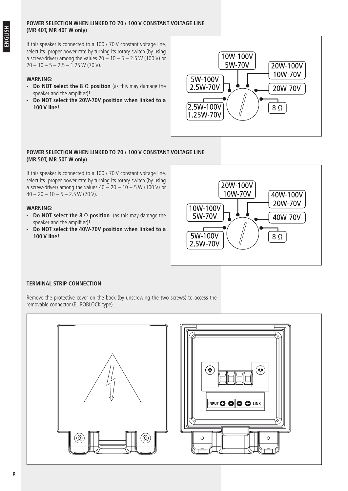#### **POWER SELECTION WHEN LINKED TO 70 / 100 V CONSTANT VOLTAGE LINE (MR 40T, MR 40T W only)**

If this speaker is connected to a 100 / 70 V constant voltage line, select its proper power rate by turning its rotary switch (by using a screw-driver) among the values  $20 - 10 - 5 - 2.5$  W (100 V) or  $20 - 10 - 5 - 2.5 - 1.25$  W (70 V).

#### **WARNING:**

- **- Do NOT select the 8 Ω position** (as this may damage the speaker and the amplifier)!
- **- Do NOT select the 20W-70V position when linked to a 100 V line!**



#### **POWER SELECTION WHEN LINKED TO 70 / 100 V CONSTANT VOLTAGE LINE (MR 50T, MR 50T W only)**

If this speaker is connected to a 100 / 70 V constant voltage line, select its proper power rate by turning its rotary switch (by using a screw-driver) among the values  $40 - 20 - 10 - 5$  W (100 V) or  $40 - 20 - 10 - 5 - 2.5$  W (70 V).

#### **WARNING:**

- **- Do NOT select the 8 Ω position** (as this may damage the speaker and the amplifier)!
- **- Do NOT select the 40W-70V position when linked to a 100 V line!**



#### **TERMINAL STRIP CONNECTION**

Remove the protective cover on the back (by unscrewing the two screws) to access the removable connector (EUROBLOCK type).

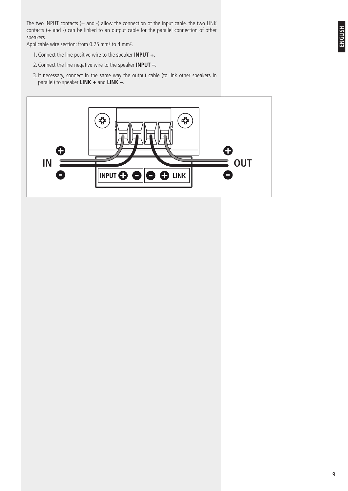The two INPUT contacts (+ and -) allow the connection of the input cable, the two LINK contacts (+ and -) can be linked to an output cable for the parallel connection of other speakers.

Applicable wire section: from 0.75 mm² to 4 mm².

- 1.Connect the line positive wire to the speaker **INPUT +**.
- 2.Connect the line negative wire to the speaker **INPUT –**.
- 3. If necessary, connect in the same way the output cable (to link other speakers in parallel) to speaker **LINK +** and **LINK –**.

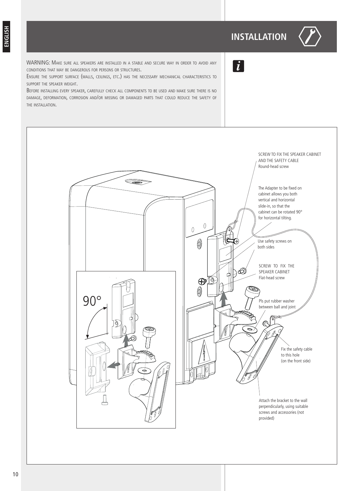# **INSTALLATION**



WARNING: Make sure all speakers are installed in <sup>a</sup> stable and secure way in order to avoid any conditions that may be dangerous for persons or structures.

Ensure the support surface (walls, ceilings, etc.) has the necessary mechanical characteristics to support the speaker weight.

Before installing every speaker, carefully check all components to be used and make sure there is no damage, deformation, corrosion and/or missing or damaged parts that could reduce the safety of the installation.



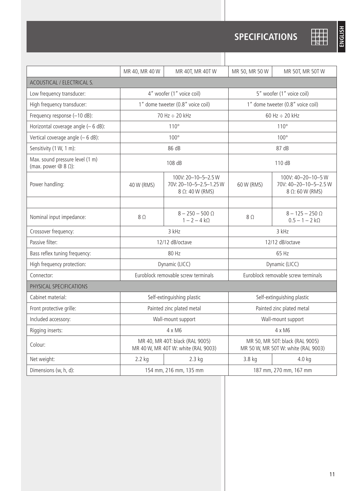|                                                                | MR 40, MR 40 W                                                         | MR 40T, MR 40T W                                                 | MR 50, MR 50 W                                                         | MR 50T, MR 50TW                                                |  |  |  |  |
|----------------------------------------------------------------|------------------------------------------------------------------------|------------------------------------------------------------------|------------------------------------------------------------------------|----------------------------------------------------------------|--|--|--|--|
| ACOUSTICAL / ELECTRICAL S.                                     |                                                                        |                                                                  |                                                                        |                                                                |  |  |  |  |
| Low frequency transducer:                                      | 4" woofer (1" voice coil)                                              |                                                                  | 5" woofer (1" voice coil)                                              |                                                                |  |  |  |  |
| High frequency transducer:                                     | 1" dome tweeter (0.8" voice coil)                                      |                                                                  | 1" dome tweeter (0.8" voice coil)                                      |                                                                |  |  |  |  |
| Frequency response (-10 dB):                                   | 70 Hz ÷ 20 kHz                                                         |                                                                  | 60 Hz $\div$ 20 kHz                                                    |                                                                |  |  |  |  |
| Horizontal coverage angle $(-6 dB)$ :                          | $110^{\circ}$                                                          |                                                                  | $110^{\circ}$                                                          |                                                                |  |  |  |  |
| Vertical coverage angle (- 6 dB):                              |                                                                        | $100^\circ$                                                      | $100^\circ$                                                            |                                                                |  |  |  |  |
| Sensitivity (1 W, 1 m):                                        | 86 dB                                                                  |                                                                  | 87 dB                                                                  |                                                                |  |  |  |  |
| Max. sound pressure level (1 m)<br>(max. power $@ 8 \Omega$ ): | 108 dB                                                                 |                                                                  | 110 dB                                                                 |                                                                |  |  |  |  |
| Power handling:                                                | 40 W (RMS)                                                             | 100V: 20-10-5-2.5W<br>70V: 20-10-5-2.5-1.25 W<br>8 Ω: 40 W (RMS) | 60 W (RMS)                                                             | 100V: 40-20-10-5 W<br>70V: 40-20-10-5-2.5 W<br>8 Ω: 60 W (RMS) |  |  |  |  |
|                                                                |                                                                        |                                                                  |                                                                        |                                                                |  |  |  |  |
| Nominal input impedance:                                       | $8\Omega$                                                              | $8 - 250 - 500 \Omega$<br>$1 - 2 - 4 k\Omega$                    | $8\Omega$                                                              | $8 - 125 - 250 \Omega$<br>$0.5 - 1 - 2 k\Omega$                |  |  |  |  |
| Crossover frequency:                                           | 3 kHz                                                                  |                                                                  | 3 kHz                                                                  |                                                                |  |  |  |  |
| Passive filter:                                                | 12/12 dB/octave                                                        |                                                                  | 12/12 dB/octave                                                        |                                                                |  |  |  |  |
| Bass reflex tuning frequency:                                  | 80 Hz                                                                  |                                                                  | 65 Hz                                                                  |                                                                |  |  |  |  |
| High frequency protection:                                     | Dynamic (LICC)                                                         |                                                                  | Dynamic (LICC)                                                         |                                                                |  |  |  |  |
| Connector:                                                     | Euroblock removable screw terminals                                    |                                                                  | Euroblock removable screw terminals                                    |                                                                |  |  |  |  |
| PHYSICAL SPECIFICATIONS                                        |                                                                        |                                                                  |                                                                        |                                                                |  |  |  |  |
| Cabinet material:                                              | Self-extinguishing plastic                                             |                                                                  | Self-extinguishing plastic                                             |                                                                |  |  |  |  |
| Front protective grille:                                       | Painted zinc plated metal                                              |                                                                  | Painted zinc plated metal                                              |                                                                |  |  |  |  |
| Included accessory:                                            | Wall-mount support                                                     |                                                                  | Wall-mount support                                                     |                                                                |  |  |  |  |
| Rigging inserts:                                               | 4 x M6                                                                 |                                                                  | 4 x M6                                                                 |                                                                |  |  |  |  |
| Colour:                                                        | MR 40, MR 40T: black (RAL 9005)<br>MR 40 W, MR 40T W: white (RAL 9003) |                                                                  | MR 50, MR 50T: black (RAL 9005)<br>MR 50 W, MR 50T W: white (RAL 9003) |                                                                |  |  |  |  |
| Net weight:                                                    | $2.2$ kg                                                               | $2.3$ kg                                                         | 3.8 kg                                                                 | $4.0$ kg                                                       |  |  |  |  |
| Dimensions (w, h, d):                                          | 154 mm, 216 mm, 135 mm                                                 |                                                                  | 187 mm, 270 mm, 167 mm                                                 |                                                                |  |  |  |  |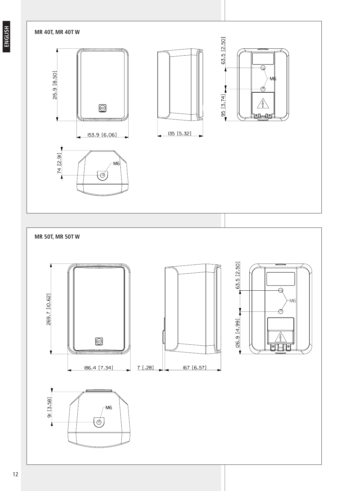#### **MR 40T, MR 40T W**







**MR 50T, MR 50T W** 63.5 [2.50]  $\overline{\Theta}$ 269.7 [10.62] ⊅ [26.9 [4.99] Ø  $\frac{\angle 1}{\textcolor{blue}{\mathcal{O}}\textcolor{blue}{\mathcal{O}}\textcolor{blue}{\mathcal{O}}\textcolor{blue}{\mathcal{O}}\textcolor{blue}{\mathcal{O}}\textcolor{blue}{\mathcal{O}}\textcolor{blue}{\mathcal{O}}\textcolor{blue}{\mathcal{O}}\textcolor{blue}{\mathcal{O}}\textcolor{blue}{\mathcal{O}}\textcolor{blue}{\mathcal{O}}\textcolor{blue}{\mathcal{O}}\textcolor{blue}{\mathcal{O}}\textcolor{blue}{\mathcal{O}}\textcolor{blue}{\mathcal{O}}\textcolor{blue}{\mathcal{O}}\textcolor{blue}{\mathcal{O}}\textcolor{blue}{\mathcal$ Ÿ  $7$  [.28] 167 [6.57] 186.4 [7.34]  $91 [3.58]$ M<sub>6</sub>  $\overline{\phi}$ 1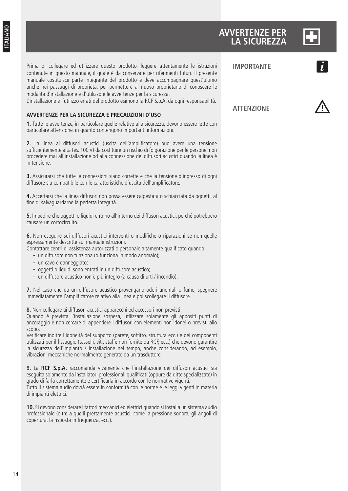### **AVVERTENZE PER LA SICUREZZA**



Prima di collegare ed utilizzare questo prodotto, leggere attentamente le istruzioni contenute in questo manuale, il quale è da conservare per riferimenti futuri. Il presente manuale costituisce parte integrante del prodotto e deve accompagnare quest'ultimo anche nei passaggi di proprietà, per permettere al nuovo proprietario di conoscere le modalità d'installazione e d'utilizzo e le avvertenze per la sicurezza.

L'installazione e l'utilizzo errati del prodotto esimono la RCF S.p.A. da ogni responsabilità.

#### **AVVERTENZE PER LA SICUREZZA E PRECAUZIONI D'USO**

**1.** Tutte le avvertenze, in particolare quelle relative alla sicurezza, devono essere lette con particolare attenzione, in quanto contengono importanti informazioni.

**2.** La linea ai diffusori acustici (uscita dell'amplificatore) può avere una tensione sufficientemente alta (es. 100 V) da costituire un rischio di folgorazione per le persone: non procedere mai all'installazione od alla connessione dei diffusori acustici quando la linea è in tensione.

**3.** Assicurarsi che tutte le connessioni siano corrette e che la tensione d'ingresso di ogni diffusore sia compatibile con le caratteristiche d'uscita dell'amplificatore.

**4.** Accertarsi che la linea diffusori non possa essere calpestata o schiacciata da oggetti, al fine di salvaguardarne la perfetta integrità.

**5.** Impedire che oggetti o liquidi entrino all'interno dei diffusori acustici, perché potrebbero causare un cortocircuito.

**6.** Non eseguire sui diffusori acustici interventi o modifiche o riparazioni se non quelle espressamente descritte sul manuale istruzioni.

Contattare centri di assistenza autorizzati o personale altamente qualificato quando:

- **-** un diffusore non funziona (o funziona in modo anomalo);
- **-** un cavo è danneggiato;
- **-** oggetti o liquidi sono entrati in un diffusore acustico;
- **-** un diffusore acustico non è più integro (a causa di urti / incendio).

**7.** Nel caso che da un diffusore acustico provengano odori anomali o fumo, spegnere immediatamente l'amplificatore relativo alla linea e poi scollegare il diffusore.

**8.** Non collegare ai diffusori acustici apparecchi ed accessori non previsti.

Quando è prevista l'installazione sospesa, utilizzare solamente gli appositi punti di ancoraggio e non cercare di appendere i diffusori con elementi non idonei o previsti allo scopo.

Verificare inoltre l'idoneità del supporto (parete, soffitto, struttura ecc.) e dei componenti utilizzati per il fissaggio (tasselli, viti, staffe non fornite da RCF, ecc.) che devono garantire la sicurezza dell'impianto / installazione nel tempo, anche considerando, ad esempio, vibrazioni meccaniche normalmente generate da un trasduttore.

**9.** La **RCF S.p.A.** raccomanda vivamente che l'installazione dei diffusori acustici sia eseguita solamente da installatori professionali qualificati (oppure da ditte specializzate) in grado di farla correttamente e certificarla in accordo con le normative vigenti. Tutto il sistema audio dovrà essere in conformità con le norme e le leggi vigenti in materia di impianti elettrici.

**10.** Si devono considerare i fattori meccanici ed elettrici quando si installa un sistema audio professionale (oltre a quelli prettamente acustici, come la pressione sonora, gli angoli di copertura, la risposta in frequenza, ecc.).

**ATTENZIONE**

**IMPORTANTE**

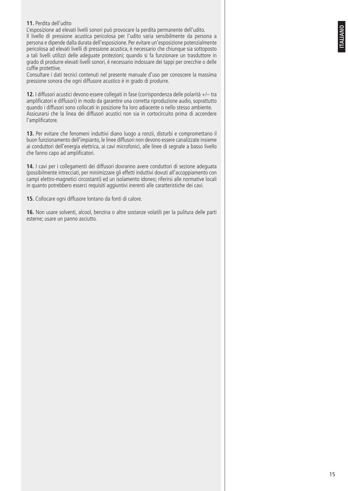#### **11.** Perdita dell'udito

L'esposizione ad elevati livelli sonori può provocare la perdita permanente dell'udito. Il livello di pressione acustica pericolosa per l'udito varia sensibilmente da persona a persona e dipende dalla durata dell'esposizione. Per evitare un'esposizione potenzialmente pericolosa ad elevati livelli di pressione acustica, è necessario che chiunque sia sottoposto a tali livelli utilizzi delle adeguate protezioni; quando si fa funzionare un trasduttore in grado di produrre elevati livelli sonori, è necessario indossare dei tappi per orecchie o delle cuffie protettive.

Consultare i dati tecnici contenuti nel presente manuale d'uso per conoscere la massima pressione sonora che ogni diffusore acustico è in grado di produrre.

**12.** I diffusori acustici devono essere collegati in fase (corrispondenza delle polarità +/– tra amplificatori e diffusori) in modo da garantire una corretta riproduzione audio, soprattutto quando i diffusori sono collocati in posizione fra loro adiacente o nello stesso ambiente. Assicurarsi che la linea dei diffusori acustici non sia in cortocircuito prima di accendere l'amplificatore.

**13.** Per evitare che fenomeni induttivi diano luogo a ronzii, disturbi e compromettano il buon funzionamento dell'impianto, le linee diffusori non devono essere canalizzate insieme ai conduttori dell'energia elettrica, ai cavi microfonici, alle linee di segnale a basso livello che fanno capo ad amplificatori.

**14.** I cavi per i collegamenti dei diffusori dovranno avere conduttori di sezione adeguata (possibilmente intrecciati, per minimizzare gli effetti induttivi dovuti all'accoppiamento con campi elettro-magnetici circostanti) ed un isolamento idoneo; riferirsi alle normative locali in quanto potrebbero esserci requisiti aggiuntivi inerenti alle caratteristiche dei cavi.

**15.** Collocare ogni diffusore lontano da fonti di calore.

**16.** Non usare solventi, alcool, benzina o altre sostanze volatili per la pulitura delle parti esterne; usare un panno asciutto.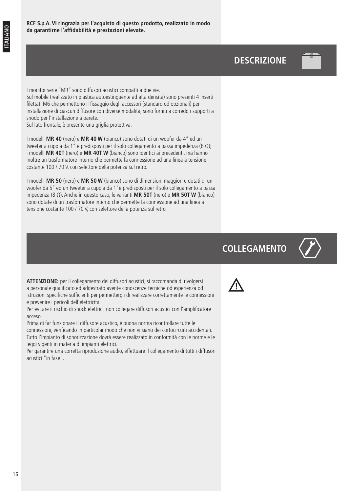## **DESCRIZIONE**



I monitor serie "MR" sono diffusori acustici compatti a due vie. Sul mobile (realizzato in plastica autoestinguente ad alta densità) sono presenti 4 inserti filettati M6 che permettono il fissaggio degli accessori (standard od opzionali) per installazione di ciascun diffusore con diverse modalità; sono forniti a corredo i supporti a snodo per l'installazione a parete.

Sul lato frontale, è presente una griglia protettiva.

I modelli **MR 40** (nero) e **MR 40 W** (bianco) sono dotati di un woofer da 4" ed un tweeter a cupola da 1" e predisposti per il solo collegamento a bassa impedenza (8 Ω); i modelli **MR 40T** (nero) e **MR 40T W** (bianco) sono identici ai precedenti, ma hanno inoltre un trasformatore interno che permette la connessione ad una linea a tensione costante 100 / 70 V, con selettore della potenza sul retro.

I modelli **MR 50** (nero) e **MR 50 W** (bianco) sono di dimensioni maggiori e dotati di un woofer da 5" ed un tweeter a cupola da 1"e predisposti per il solo collegamento a bassa impedenza (8 Ω). Anche in questo caso, le varianti **MR 50T** (nero) e **MR 50T W** (bianco) sono dotate di un trasformatore interno che permette la connessione ad una linea a tensione costante 100 / 70 V, con selettore della potenza sul retro.

# **COLLEGAMENTO**



**ATTENZIONE:** per il collegamento dei diffusori acustici, si raccomanda di rivolgersi a personale qualificato ed addestrato avente conoscenze tecniche od esperienza od istruzioni specifiche sufficienti per permettergli di realizzare correttamente le connessioni e prevenire i pericoli dell'elettricità.

Per evitare il rischio di shock elettrici, non collegare diffusori acustici con l'amplificatore acceso.

Prima di far funzionare il diffusore acustico, è buona norma ricontrollare tutte le connessioni, verificando in particolar modo che non vi siano dei cortocircuiti accidentali. Tutto l'impianto di sonorizzazione dovrà essere realizzato in conformità con le norme e le leggi vigenti in materia di impianti elettrici.

Per garantire una corretta riproduzione audio, effettuare il collegamento di tutti i diffusori acustici "in fase".

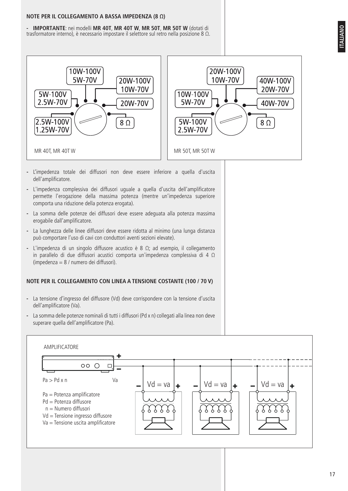#### **NOTE PER IL COLLEGAMENTO A BASSA IMPEDENZA (8 Ω)**

**- IMPORTANTE**: nei modelli **MR 40T**, **MR 40T W**, **MR 50T**, **MR 50T W** (dotati di trasformatore interno), è necessario impostare il selettore sul retro nella posizione 8 Ω.





- **-** L'impedenza totale dei diffusori non deve essere inferiore a quella d'uscita dell'amplificatore.
- **-** L'impedenza complessiva dei diffusori uguale a quella d'uscita dell'amplificatore permette l'erogazione della massima potenza (mentre un'impedenza superiore comporta una riduzione della potenza erogata).
- **-** La somma delle potenze dei diffusori deve essere adeguata alla potenza massima erogabile dall'amplificatore.
- **-** La lunghezza delle linee diffusori deve essere ridotta al minimo (una lunga distanza può comportare l'uso di cavi con conduttori aventi sezioni elevate).
- **-** L'impedenza di un singolo diffusore acustico è 8 Ω; ad esempio, il collegamento in parallelo di due diffusori acustici comporta un'impedenza complessiva di 4 Ω (impedenza = 8 / numero dei diffusori).

#### **NOTE PER IL COLLEGAMENTO CON LINEA A TENSIONE COSTANTE (100 / 70 V)**

- **-** La tensione d'ingresso del diffusore (Vd) deve corrispondere con la tensione d'uscita dell'amplificatore (Va).
- **-** La somma delle potenze nominali di tutti i diffusori (Pd x n) collegati alla linea non deve superare quella dell'amplificatore (Pa).

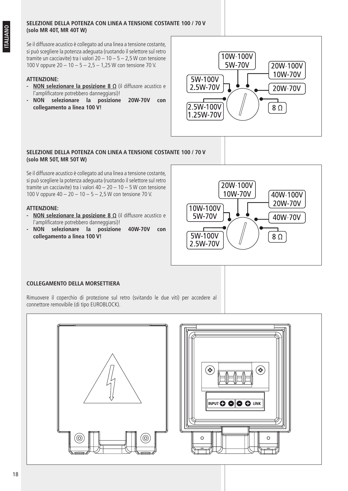#### **SELEZIONE DELLA POTENZA CON LINEA A TENSIONE COSTANTE 100 / 70 V (solo MR 40T, MR 40T W)**

Se il diffusore acustico è collegato ad una linea a tensione costante, si può scegliere la potenza adeguata (ruotando il selettore sul retro tramite un cacciavite) tra i valori  $20 - 10 - 5 - 2.5$  W con tensione 100 V oppure 20 – 10 – 5 – 2,5 – 1,25 W con tensione 70 V.

#### **ATTENZIONE:**

- **- NON selezionare la posizione 8 Ω** (il diffusore acustico e l'amplificatore potrebbero danneggiarsi)!
- **- NON selezionare la posizione 20W-70V con collegamento a linea 100 V!**



#### **SELEZIONE DELLA POTENZA CON LINEA A TENSIONE COSTANTE 100 / 70 V (solo MR 50T, MR 50T W)**

Se il diffusore acustico è collegato ad una linea a tensione costante, si può scegliere la potenza adeguata (ruotando il selettore sul retro tramite un cacciavite) tra i valori 40 – 20 – 10 – 5 W con tensione 100 V oppure 40 – 20 – 10 – 5 – 2,5 W con tensione 70 V.

#### **ATTENZIONE:**

- **- NON selezionare la posizione 8 Ω** (il diffusore acustico e l'amplificatore potrebbero danneggiarsi)!
- **- NON selezionare la posizione 40W-70V con collegamento a linea 100 V!**



#### **COLLEGAMENTO DELLA MORSETTIERA**

Rimuovere il coperchio di protezione sul retro (svitando le due viti) per accedere al connettore removibile (di tipo EUROBLOCK).

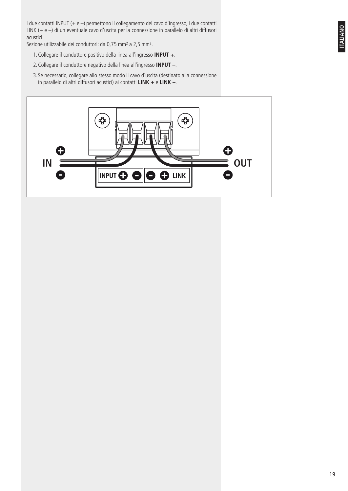I due contatti INPUT (+ e –) permettono il collegamento del cavo d'ingresso, i due contatti LINK (+ e –) di un eventuale cavo d'uscita per la connessione in parallelo di altri diffusori acustici.

Sezione utilizzabile dei conduttori: da 0,75 mm² a 2,5 mm².

- 1.Collegare il conduttore positivo della linea all'ingresso **INPUT +**.
- 2.Collegare il conduttore negativo della linea all'ingresso **INPUT –**.
- 3. Se necessario, collegare allo stesso modo il cavo d'uscita (destinato alla connessione in parallelo di altri diffusori acustici) ai contatti **LINK +** e **LINK –**.

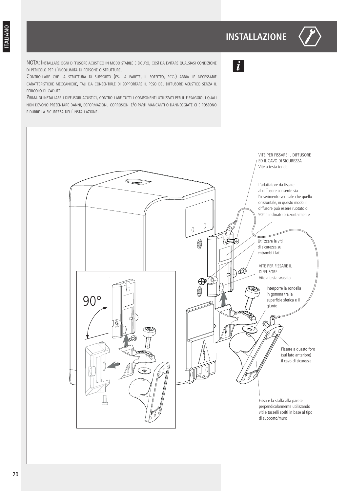## **INSTALLAZIONE**



NOTA: Installare ogni diffusore acustico in modo stabile <sup>e</sup> sicuro, così da evitare qualsiasi condizione di pericolo per <sup>l</sup>'incolumità di persone <sup>o</sup> strutture.

Controllare che la struttura di supporto (es. la parete, il soffitto, ecc.) abbia le necessarie caratteristiche meccaniche, tali da consentirle di sopportare il peso del diffusore acustico senza il pericolo di cadute.

PRIMA DI INSTALLARE I DIFFUSORI ACUSTICI, CONTROLLARE TUTTI I COMPONENTI UTILIZZATI PER IL FISSAGGIO, I QUALI non devono presentare danni, deformazioni, corrosioni e/o parti mancanti <sup>o</sup> danneggiate che possono ridurre la sicurezza dell'installazione.



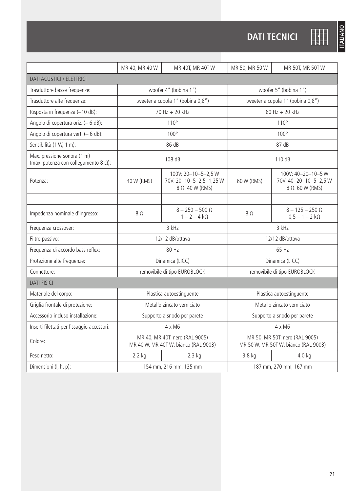# **DATI TECNICI**

|                                                                             | MR 40, MR 40 W                                                         | MR 40T, MR 40T W                                                 | MR 50, MR 50 W                                                         | MR 50T, MR 50TW                                                |  |  |  |
|-----------------------------------------------------------------------------|------------------------------------------------------------------------|------------------------------------------------------------------|------------------------------------------------------------------------|----------------------------------------------------------------|--|--|--|
| DATI ACUSTICI / ELETTRICI                                                   |                                                                        |                                                                  |                                                                        |                                                                |  |  |  |
| Trasduttore basse frequenze:                                                | woofer 4" (bobina 1")                                                  |                                                                  | woofer 5" (bobina 1")                                                  |                                                                |  |  |  |
| Trasduttore alte frequenze:                                                 | tweeter a cupola 1" (bobina 0,8")                                      |                                                                  | tweeter a cupola 1" (bobina 0,8")                                      |                                                                |  |  |  |
| Risposta in frequenza (-10 dB):                                             |                                                                        | 70 Hz ÷ 20 kHz                                                   | 60 Hz $\div$ 20 kHz                                                    |                                                                |  |  |  |
| Angolo di copertura oriz. (- 6 dB):                                         | 110°                                                                   |                                                                  | 110°                                                                   |                                                                |  |  |  |
| Angolo di copertura vert. (- 6 dB):                                         | $100^\circ$                                                            |                                                                  | $100^\circ$                                                            |                                                                |  |  |  |
| Sensibilità (1 W, 1 m):                                                     |                                                                        | 86 dB                                                            | 87 dB                                                                  |                                                                |  |  |  |
| Max. pressione sonora (1 m)<br>(max. potenza con collegamento 8 $\Omega$ ): | 108 dB                                                                 |                                                                  | 110 dB                                                                 |                                                                |  |  |  |
| Potenza:                                                                    | 40 W (RMS)                                                             | 100V: 20-10-5-2,5W<br>70V: 20-10-5-2,5-1,25 W<br>8 Ω: 40 W (RMS) | 60 W (RMS)                                                             | 100V: 40-20-10-5 W<br>70V: 40-20-10-5-2,5 W<br>8 Ω: 60 W (RMS) |  |  |  |
|                                                                             |                                                                        |                                                                  |                                                                        |                                                                |  |  |  |
| Impedenza nominale d'ingresso:                                              | 8Ω                                                                     | $8 - 250 - 500 \Omega$<br>$1 - 2 - 4 k\Omega$                    | 8Ω                                                                     | $8 - 125 - 250 \Omega$<br>$0,5 - 1 - 2 k\Omega$                |  |  |  |
| Frequenza crossover:                                                        | 3 kHz                                                                  |                                                                  | 3 kHz                                                                  |                                                                |  |  |  |
| Filtro passivo:                                                             | 12/12 dB/ottava                                                        |                                                                  | 12/12 dB/ottava                                                        |                                                                |  |  |  |
| Frequenza di accordo bass reflex:                                           | 80 Hz                                                                  |                                                                  | 65 Hz                                                                  |                                                                |  |  |  |
| Protezione alte frequenze:                                                  | Dinamica (LICC)                                                        |                                                                  | Dinamica (LICC)                                                        |                                                                |  |  |  |
| Connettore:                                                                 | removibile di tipo EUROBLOCK                                           |                                                                  | removibile di tipo EUROBLOCK                                           |                                                                |  |  |  |
| <b>DATI FISICI</b>                                                          |                                                                        |                                                                  |                                                                        |                                                                |  |  |  |
| Materiale del corpo:                                                        | Plastica autoestinguente                                               |                                                                  | Plastica autoestinguente                                               |                                                                |  |  |  |
| Griglia frontale di protezione:                                             | Metallo zincato verniciato                                             |                                                                  | Metallo zincato verniciato                                             |                                                                |  |  |  |
| Accessorio incluso installazione:<br>Supporto a snodo per parete            |                                                                        | Supporto a snodo per parete                                      |                                                                        |                                                                |  |  |  |
| Inserti filettati per fissaggio accessori:                                  | 4 x M6                                                                 |                                                                  | 4 x M6                                                                 |                                                                |  |  |  |
| Colore:                                                                     | MR 40, MR 40T: nero (RAL 9005)<br>MR 40 W, MR 40T W: bianco (RAL 9003) |                                                                  | MR 50, MR 50T: nero (RAL 9005)<br>MR 50 W, MR 50T W: bianco (RAL 9003) |                                                                |  |  |  |
| Peso netto:                                                                 | $2,2$ kg                                                               | $2,3$ kg                                                         | $3,8$ kg                                                               | $4,0$ kg                                                       |  |  |  |
| Dimensioni (l, h, p):<br>154 mm, 216 mm, 135 mm                             |                                                                        | 187 mm, 270 mm, 167 mm                                           |                                                                        |                                                                |  |  |  |

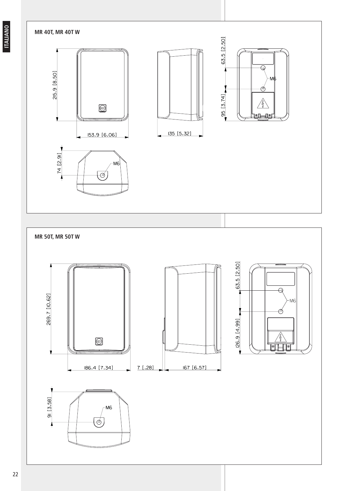**ITALIANO**

#### **MR 40T, MR 40T W**







**MR 50T, MR 50T W** 63.5 [2.50]  $\overline{\Theta}$ 269.7 [10.62] ⊅ [26.9 [4.99] Ø  $\frac{\angle 1}{\text{C}}$ Ÿ  $7$  [.28] 167 [6.57] 186.4 [7.34]  $91 [3.58]$ M<sub>6</sub>  $\overline{\phi}$ 1